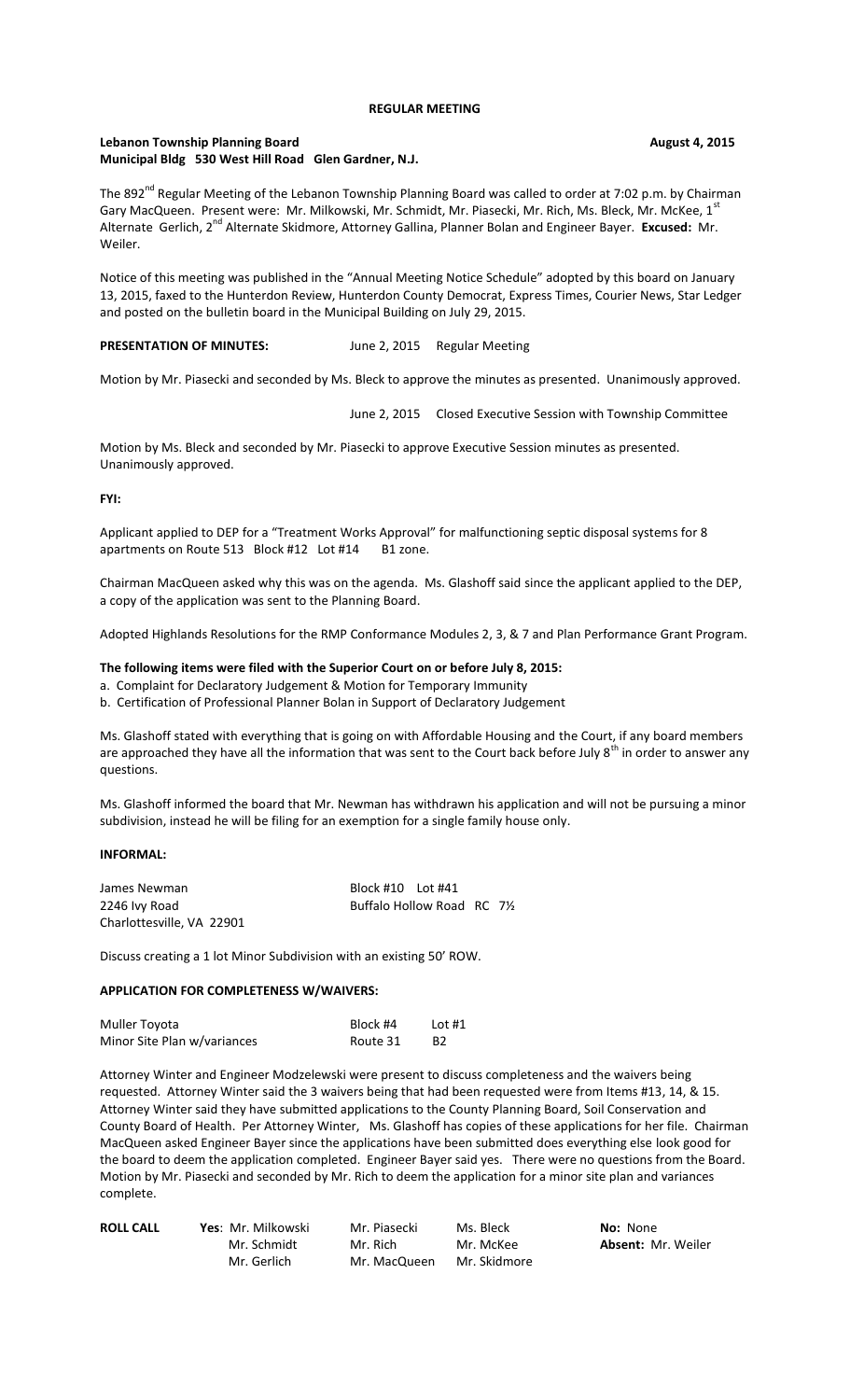## **REGULAR MEETING**

## **Lebanon Township Planning Board August 4, 2015 Municipal Bldg 530 West Hill Road Glen Gardner, N.J.**

The 892<sup>nd</sup> Regular Meeting of the Lebanon Township Planning Board was called to order at 7:02 p.m. by Chairman Gary MacQueen. Present were: Mr. Milkowski, Mr. Schmidt, Mr. Piasecki, Mr. Rich, Ms. Bleck, Mr. McKee, 1st Alternate Gerlich, 2<sup>nd</sup> Alternate Skidmore, Attorney Gallina, Planner Bolan and Engineer Bayer. **Excused:** Mr. Weiler.

Notice of this meeting was published in the "Annual Meeting Notice Schedule" adopted by this board on January 13, 2015, faxed to the Hunterdon Review, Hunterdon County Democrat, Express Times, Courier News, Star Ledger and posted on the bulletin board in the Municipal Building on July 29, 2015.

# PRESENTATION OF MINUTES: June 2, 2015 Regular Meeting

Motion by Mr. Piasecki and seconded by Ms. Bleck to approve the minutes as presented. Unanimously approved.

June 2, 2015 Closed Executive Session with Township Committee

Motion by Ms. Bleck and seconded by Mr. Piasecki to approve Executive Session minutes as presented. Unanimously approved.

## **FYI:**

Applicant applied to DEP for a "Treatment Works Approval" for malfunctioning septic disposal systems for 8 apartments on Route 513 Block #12 Lot #14 B1 zone.

Chairman MacQueen asked why this was on the agenda. Ms. Glashoff said since the applicant applied to the DEP, a copy of the application was sent to the Planning Board.

Adopted Highlands Resolutions for the RMP Conformance Modules 2, 3, & 7 and Plan Performance Grant Program.

## **The following items were filed with the Superior Court on or before July 8, 2015:**

a. Complaint for Declaratory Judgement & Motion for Temporary Immunity

b. Certification of Professional Planner Bolan in Support of Declaratory Judgement

Ms. Glashoff stated with everything that is going on with Affordable Housing and the Court, if any board members are approached they have all the information that was sent to the Court back before July 8<sup>th</sup> in order to answer any questions.

Ms. Glashoff informed the board that Mr. Newman has withdrawn his application and will not be pursuing a minor subdivision, instead he will be filing for an exemption for a single family house only.

## **INFORMAL:**

| James Newman              | Block #10    Lot #41        |  |  |
|---------------------------|-----------------------------|--|--|
| 2246 Ivy Road             | Buffalo Hollow Road RC 71/2 |  |  |
| Charlottesville, VA 22901 |                             |  |  |

Discuss creating a 1 lot Minor Subdivision with an existing 50' ROW.

## **APPLICATION FOR COMPLETENESS W/WAIVERS:**

| Muller Toyota               | Block #4 | Lot #1         |
|-----------------------------|----------|----------------|
| Minor Site Plan w/variances | Route 31 | B <sub>2</sub> |

Attorney Winter and Engineer Modzelewski were present to discuss completeness and the waivers being requested. Attorney Winter said the 3 waivers being that had been requested were from Items #13, 14, & 15. Attorney Winter said they have submitted applications to the County Planning Board, Soil Conservation and County Board of Health. Per Attorney Winter, Ms. Glashoff has copies of these applications for her file. Chairman MacQueen asked Engineer Bayer since the applications have been submitted does everything else look good for the board to deem the application completed. Engineer Bayer said yes. There were no questions from the Board. Motion by Mr. Piasecki and seconded by Mr. Rich to deem the application for a minor site plan and variances complete.

| <b>ROLL CALL</b> | <b>Yes: Mr. Milkowski</b> | Mr. Piasecki | Ms. Bleck    | <b>No:</b> None           |
|------------------|---------------------------|--------------|--------------|---------------------------|
|                  | Mr. Schmidt               | Mr. Rich     | Mr. McKee    | <b>Absent: Mr. Weiler</b> |
|                  | Mr. Gerlich               | Mr. MacQueen | Mr. Skidmore |                           |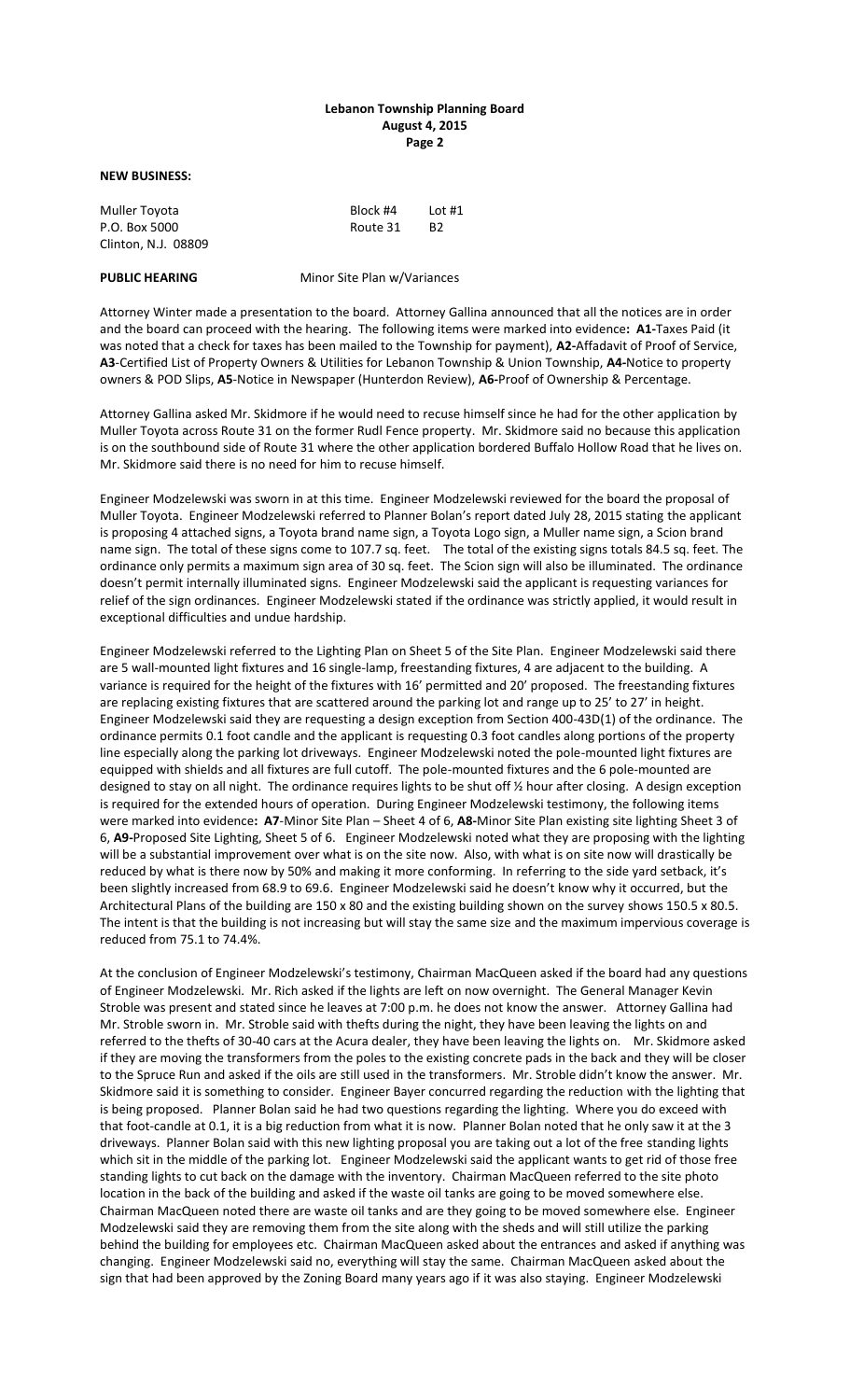## **Lebanon Township Planning Board August 4, 2015 Page 2**

#### **NEW BUSINESS:**

| Muller Toyota       | Block #4 | Lot $#1$ |
|---------------------|----------|----------|
| P.O. Box 5000       | Route 31 | B2       |
| Clinton, N.J. 08809 |          |          |

**PUBLIC HEARING Minor Site Plan w/Variances** 

Attorney Winter made a presentation to the board. Attorney Gallina announced that all the notices are in order and the board can proceed with the hearing. The following items were marked into evidence**: A1-**Taxes Paid (it was noted that a check for taxes has been mailed to the Township for payment), **A2-**Affadavit of Proof of Service, **A3**-Certified List of Property Owners & Utilities for Lebanon Township & Union Township, **A4-**Notice to property owners & POD Slips, **A5**-Notice in Newspaper (Hunterdon Review), **A6-**Proof of Ownership & Percentage.

Attorney Gallina asked Mr. Skidmore if he would need to recuse himself since he had for the other application by Muller Toyota across Route 31 on the former Rudl Fence property. Mr. Skidmore said no because this application is on the southbound side of Route 31 where the other application bordered Buffalo Hollow Road that he lives on. Mr. Skidmore said there is no need for him to recuse himself.

Engineer Modzelewski was sworn in at this time. Engineer Modzelewski reviewed for the board the proposal of Muller Toyota. Engineer Modzelewski referred to Planner Bolan's report dated July 28, 2015 stating the applicant is proposing 4 attached signs, a Toyota brand name sign, a Toyota Logo sign, a Muller name sign, a Scion brand name sign. The total of these signs come to 107.7 sq. feet. The total of the existing signs totals 84.5 sq. feet. The ordinance only permits a maximum sign area of 30 sq. feet. The Scion sign will also be illuminated. The ordinance doesn't permit internally illuminated signs. Engineer Modzelewski said the applicant is requesting variances for relief of the sign ordinances. Engineer Modzelewski stated if the ordinance was strictly applied, it would result in exceptional difficulties and undue hardship.

Engineer Modzelewski referred to the Lighting Plan on Sheet 5 of the Site Plan. Engineer Modzelewski said there are 5 wall-mounted light fixtures and 16 single-lamp, freestanding fixtures, 4 are adjacent to the building. A variance is required for the height of the fixtures with 16' permitted and 20' proposed. The freestanding fixtures are replacing existing fixtures that are scattered around the parking lot and range up to 25' to 27' in height. Engineer Modzelewski said they are requesting a design exception from Section 400-43D(1) of the ordinance. The ordinance permits 0.1 foot candle and the applicant is requesting 0.3 foot candles along portions of the property line especially along the parking lot driveways. Engineer Modzelewski noted the pole-mounted light fixtures are equipped with shields and all fixtures are full cutoff. The pole-mounted fixtures and the 6 pole-mounted are designed to stay on all night. The ordinance requires lights to be shut off ½ hour after closing. A design exception is required for the extended hours of operation. During Engineer Modzelewski testimony, the following items were marked into evidence**: A7**-Minor Site Plan – Sheet 4 of 6, **A8-**Minor Site Plan existing site lighting Sheet 3 of 6, **A9-**Proposed Site Lighting, Sheet 5 of 6. Engineer Modzelewski noted what they are proposing with the lighting will be a substantial improvement over what is on the site now. Also, with what is on site now will drastically be reduced by what is there now by 50% and making it more conforming. In referring to the side yard setback, it's been slightly increased from 68.9 to 69.6. Engineer Modzelewski said he doesn't know why it occurred, but the Architectural Plans of the building are 150 x 80 and the existing building shown on the survey shows 150.5 x 80.5. The intent is that the building is not increasing but will stay the same size and the maximum impervious coverage is reduced from 75.1 to 74.4%.

At the conclusion of Engineer Modzelewski's testimony, Chairman MacQueen asked if the board had any questions of Engineer Modzelewski. Mr. Rich asked if the lights are left on now overnight. The General Manager Kevin Stroble was present and stated since he leaves at 7:00 p.m. he does not know the answer. Attorney Gallina had Mr. Stroble sworn in. Mr. Stroble said with thefts during the night, they have been leaving the lights on and referred to the thefts of 30-40 cars at the Acura dealer, they have been leaving the lights on. Mr. Skidmore asked if they are moving the transformers from the poles to the existing concrete pads in the back and they will be closer to the Spruce Run and asked if the oils are still used in the transformers. Mr. Stroble didn't know the answer. Mr. Skidmore said it is something to consider. Engineer Bayer concurred regarding the reduction with the lighting that is being proposed. Planner Bolan said he had two questions regarding the lighting. Where you do exceed with that foot-candle at 0.1, it is a big reduction from what it is now. Planner Bolan noted that he only saw it at the 3 driveways. Planner Bolan said with this new lighting proposal you are taking out a lot of the free standing lights which sit in the middle of the parking lot. Engineer Modzelewski said the applicant wants to get rid of those free standing lights to cut back on the damage with the inventory. Chairman MacQueen referred to the site photo location in the back of the building and asked if the waste oil tanks are going to be moved somewhere else. Chairman MacQueen noted there are waste oil tanks and are they going to be moved somewhere else. Engineer Modzelewski said they are removing them from the site along with the sheds and will still utilize the parking behind the building for employees etc. Chairman MacQueen asked about the entrances and asked if anything was changing. Engineer Modzelewski said no, everything will stay the same. Chairman MacQueen asked about the sign that had been approved by the Zoning Board many years ago if it was also staying. Engineer Modzelewski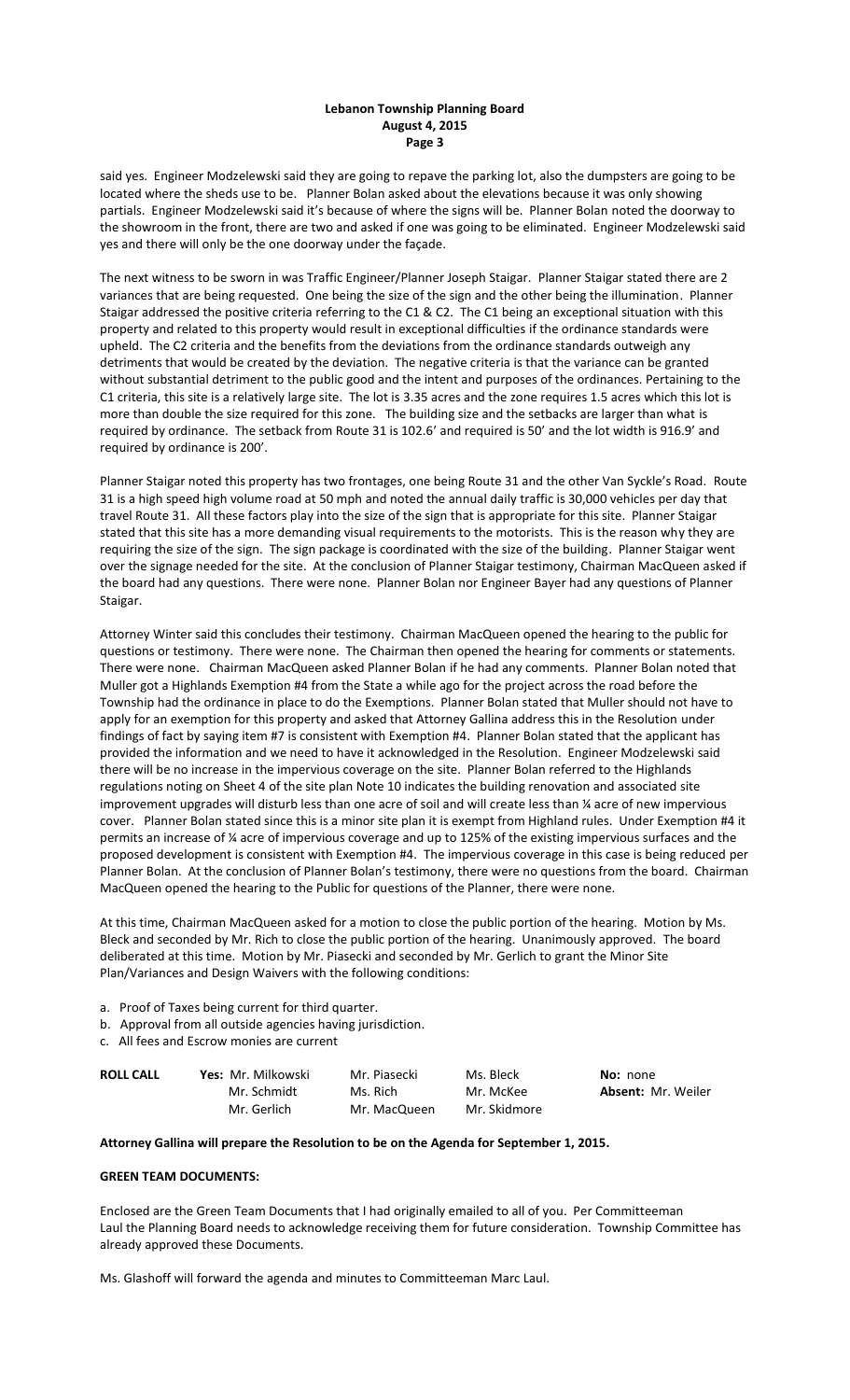## **Lebanon Township Planning Board August 4, 2015 Page 3**

said yes. Engineer Modzelewski said they are going to repave the parking lot, also the dumpsters are going to be located where the sheds use to be. Planner Bolan asked about the elevations because it was only showing partials. Engineer Modzelewski said it's because of where the signs will be. Planner Bolan noted the doorway to the showroom in the front, there are two and asked if one was going to be eliminated. Engineer Modzelewski said yes and there will only be the one doorway under the façade.

The next witness to be sworn in was Traffic Engineer/Planner Joseph Staigar. Planner Staigar stated there are 2 variances that are being requested. One being the size of the sign and the other being the illumination. Planner Staigar addressed the positive criteria referring to the C1 & C2. The C1 being an exceptional situation with this property and related to this property would result in exceptional difficulties if the ordinance standards were upheld. The C2 criteria and the benefits from the deviations from the ordinance standards outweigh any detriments that would be created by the deviation. The negative criteria is that the variance can be granted without substantial detriment to the public good and the intent and purposes of the ordinances. Pertaining to the C1 criteria, this site is a relatively large site. The lot is 3.35 acres and the zone requires 1.5 acres which this lot is more than double the size required for this zone. The building size and the setbacks are larger than what is required by ordinance. The setback from Route 31 is 102.6' and required is 50' and the lot width is 916.9' and required by ordinance is 200'.

Planner Staigar noted this property has two frontages, one being Route 31 and the other Van Syckle's Road. Route 31 is a high speed high volume road at 50 mph and noted the annual daily traffic is 30,000 vehicles per day that travel Route 31. All these factors play into the size of the sign that is appropriate for this site. Planner Staigar stated that this site has a more demanding visual requirements to the motorists. This is the reason why they are requiring the size of the sign. The sign package is coordinated with the size of the building. Planner Staigar went over the signage needed for the site. At the conclusion of Planner Staigar testimony, Chairman MacQueen asked if the board had any questions. There were none. Planner Bolan nor Engineer Bayer had any questions of Planner Staigar.

Attorney Winter said this concludes their testimony. Chairman MacQueen opened the hearing to the public for questions or testimony. There were none. The Chairman then opened the hearing for comments or statements. There were none. Chairman MacQueen asked Planner Bolan if he had any comments. Planner Bolan noted that Muller got a Highlands Exemption #4 from the State a while ago for the project across the road before the Township had the ordinance in place to do the Exemptions. Planner Bolan stated that Muller should not have to apply for an exemption for this property and asked that Attorney Gallina address this in the Resolution under findings of fact by saying item #7 is consistent with Exemption #4. Planner Bolan stated that the applicant has provided the information and we need to have it acknowledged in the Resolution. Engineer Modzelewski said there will be no increase in the impervious coverage on the site. Planner Bolan referred to the Highlands regulations noting on Sheet 4 of the site plan Note 10 indicates the building renovation and associated site improvement upgrades will disturb less than one acre of soil and will create less than ¼ acre of new impervious cover. Planner Bolan stated since this is a minor site plan it is exempt from Highland rules. Under Exemption #4 it permits an increase of ¼ acre of impervious coverage and up to 125% of the existing impervious surfaces and the proposed development is consistent with Exemption #4. The impervious coverage in this case is being reduced per Planner Bolan. At the conclusion of Planner Bolan's testimony, there were no questions from the board. Chairman MacQueen opened the hearing to the Public for questions of the Planner, there were none.

At this time, Chairman MacQueen asked for a motion to close the public portion of the hearing. Motion by Ms. Bleck and seconded by Mr. Rich to close the public portion of the hearing. Unanimously approved. The board deliberated at this time. Motion by Mr. Piasecki and seconded by Mr. Gerlich to grant the Minor Site Plan/Variances and Design Waivers with the following conditions:

- a. Proof of Taxes being current for third quarter.
- b. Approval from all outside agencies having jurisdiction.
- c. All fees and Escrow monies are current

| <b>ROLL CALL</b> | <b>Yes:</b> Mr. Milkowski | Mr. Piasecki | Ms. Bleck    | <b>No:</b> none           |
|------------------|---------------------------|--------------|--------------|---------------------------|
|                  | Mr. Schmidt               | Ms. Rich     | Mr. McKee    | <b>Absent: Mr. Weiler</b> |
|                  | Mr. Gerlich               | Mr. MacQueen | Mr. Skidmore |                           |

## **Attorney Gallina will prepare the Resolution to be on the Agenda for September 1, 2015.**

### **GREEN TEAM DOCUMENTS:**

Enclosed are the Green Team Documents that I had originally emailed to all of you. Per Committeeman Laul the Planning Board needs to acknowledge receiving them for future consideration. Township Committee has already approved these Documents.

Ms. Glashoff will forward the agenda and minutes to Committeeman Marc Laul.